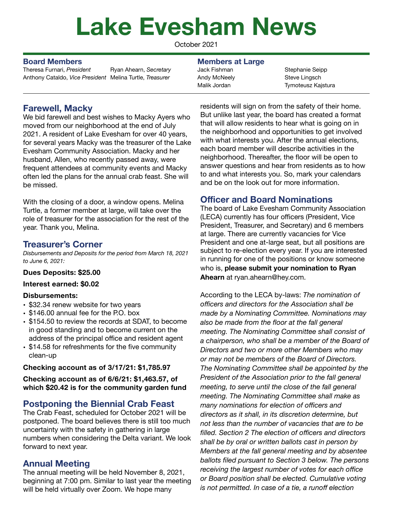# **Lake Evesham News**

October 2021

Theresa Furnari, *President*  Anthony Cataldo, *Vice President*  Melina Turtle, *Treasurer* Ryan Ahearn, *Secretary* 

#### **Board Members Members at Large**

Jack Fishman Andy McNeely Malik Jordan

Stephanie Seipp Steve Lingsch Tymoteusz Kajstura

# **Farewell, Macky**

We bid farewell and best wishes to Macky Ayers who moved from our neighborhood at the end of July 2021. A resident of Lake Evesham for over 40 years, for several years Macky was the treasurer of the Lake Evesham Community Association. Macky and her husband, Allen, who recently passed away, were frequent attendees at community events and Macky often led the plans for the annual crab feast. She will be missed.

With the closing of a door, a window opens. Melina Turtle, a former member at large, will take over the role of treasurer for the association for the rest of the year. Thank you, Melina.

## **Treasurer's Corner**

*Disbursements and Deposits for the period from March 18, 2021 to June 6, 2021:* 

#### **Dues Deposits: \$25.00**

#### **Interest earned: \$0.02**

#### **Disbursements:**

- \$32.34 renew website for two years
- \$146.00 annual fee for the P.O. box
- \$154.50 to review the records at SDAT, to become in good standing and to become current on the address of the principal office and resident agent
- \$14.58 for refreshments for the five community clean-up

#### **Checking account as of 3/17/21: \$1,785.97**

**Checking account as of 6/6/21: \$1,463.57, of which \$20.42 is for the community garden fund** 

# **Postponing the Biennial Crab Feast**

The Crab Feast, scheduled for October 2021 will be postponed. The board believes there is still too much uncertainty with the safety in gathering in large numbers when considering the Delta variant. We look forward to next year.

# **Annual Meeting**

The annual meeting will be held November 8, 2021, beginning at 7:00 pm. Similar to last year the meeting will be held virtually over Zoom. We hope many

residents will sign on from the safety of their home. But unlike last year, the board has created a format that will allow residents to hear what is going on in the neighborhood and opportunities to get involved with what interests you. After the annual elections, each board member will describe activities in the neighborhood. Thereafter, the floor will be open to answer questions and hear from residents as to how to and what interests you. So, mark your calendars and be on the look out for more information.

# **Officer and Board Nominations**

The board of Lake Evesham Community Association (LECA) currently has four officers (President, Vice President, Treasurer, and Secretary) and 6 members at large. There are currently vacancies for Vice President and one at-large seat, but all positions are subject to re-election every year. If you are interested in running for one of the positions or know someone who is, **please submit your nomination to Ryan Ahearn** at ryan.ahearn@hey.com.

According to the LECA by-laws: *The nomination of officers and directors for the Association shall be made by a Nominating Committee. Nominations may also be made from the floor at the fall general meeting. The Nominating Committee shall consist of a chairperson, who shall be a member of the Board of Directors and two or more other Members who may or may not be members of the Board of Directors. The Nominating Committee shall be appointed by the President of the Association prior to the fall general meeting, to serve until the close of the fall general meeting. The Nominating Committee shall make as many nominations for election of officers and directors as it shall, in its discretion determine, but not less than the number of vacancies that are to be filled. Section 2 The election of officers and directors shall be by oral or written ballots cast in person by Members at the fall general meeting and by absentee ballots filed pursuant to Section 3 below. The persons receiving the largest number of votes for each office or Board position shall be elected. Cumulative voting is not permitted. In case of a tie, a runoff election*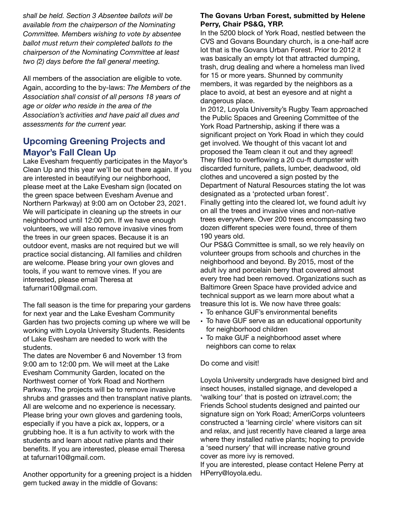*shall be held. Section 3 Absentee ballots will be available from the chairperson of the Nominating Committee. Members wishing to vote by absentee ballot must return their completed ballots to the chairperson of the Nominating Committee at least two (2) days before the fall general meeting.*

All members of the association are eligible to vote. Again, according to the by-laws: *The Members of the Association shall consist of all persons 18 years of age or older who reside in the area of the Association's activities and have paid all dues and assessments for the current year.*

# **Upcoming Greening Projects and Mayor's Fall Clean Up**

Lake Evesham frequently participates in the Mayor's Clean Up and this year we'll be out there again. If you are interested in beautifying our neighborhood, please meet at the Lake Evesham sign (located on the green space between Evesham Avenue and Northern Parkway) at 9:00 am on October 23, 2021. We will participate in cleaning up the streets in our neighborhood until 12:00 pm. If we have enough volunteers, we will also remove invasive vines from the trees in our green spaces. Because it is an outdoor event, masks are not required but we will practice social distancing. All families and children are welcome. Please bring your own gloves and tools, if you want to remove vines. If you are interested, please email Theresa at tafurnari10@gmail.com.

The fall season is the time for preparing your gardens for next year and the Lake Evesham Community Garden has two projects coming up where we will be working with Loyola University Students. Residents of Lake Evesham are needed to work with the students.

The dates are November 6 and November 13 from 9:00 am to 12:00 pm. We will meet at the Lake Evesham Community Garden, located on the Northwest corner of York Road and Northern Parkway. The projects will be to remove invasive shrubs and grasses and then transplant native plants. All are welcome and no experience is necessary. Please bring your own gloves and gardening tools, especially if you have a pick ax, loppers, or a grubbing hoe. It is a fun activity to work with the students and learn about native plants and their benefits. If you are interested, please email Theresa at tafurnari10@gmail.com.

Another opportunity for a greening project is a hidden gem tucked away in the middle of Govans:

#### **The Govans Urban Forest, submitted by Helene Perry, Chair PS&G, YRP.**

In the 5200 block of York Road, nestled between the CVS and Govans Boundary church, is a one-half acre lot that is the Govans Urban Forest. Prior to 2012 it was basically an empty lot that attracted dumping, trash, drug dealing and where a homeless man lived for 15 or more years. Shunned by community members, it was regarded by the neighbors as a place to avoid, at best an eyesore and at night a dangerous place.

In 2012, Loyola University's Rugby Team approached the Public Spaces and Greening Committee of the York Road Partnership, asking if there was a significant project on York Road in which they could get involved. We thought of this vacant lot and proposed the Team clean it out and they agreed! They filled to overflowing a 20 cu-ft dumpster with discarded furniture, pallets, lumber, deadwood, old clothes and uncovered a sign posted by the Department of Natural Resources stating the lot was designated as a 'protected urban forest'. Finally getting into the cleared lot, we found adult ivy on all the trees and invasive vines and non-native trees everywhere. Over 200 trees encompassing two dozen different species were found, three of them 190 years old.

Our PS&G Committee is small, so we rely heavily on volunteer groups from schools and churches in the neighborhood and beyond. By 2015, most of the adult ivy and porcelain berry that covered almost every tree had been removed. Organizations such as Baltimore Green Space have provided advice and technical support as we learn more about what a treasure this lot is. We now have three goals:

- To enhance GUF's environmental benefits
- To have GUF serve as an educational opportunity for neighborhood children
- To make GUF a neighborhood asset where neighbors can come to relax

#### Do come and visit!

Loyola University undergrads have designed bird and insect houses, installed signage, and developed a 'walking tour' that is posted on iztravel.com; the Friends School students designed and painted our signature sign on York Road; AmeriCorps volunteers constructed a 'learning circle' where visitors can sit and relax, and just recently have cleared a large area where they installed native plants; hoping to provide a 'seed nursery' that will increase native ground cover as more ivy is removed.

If you are interested, please contact Helene Perry at HPerry@loyola.edu.